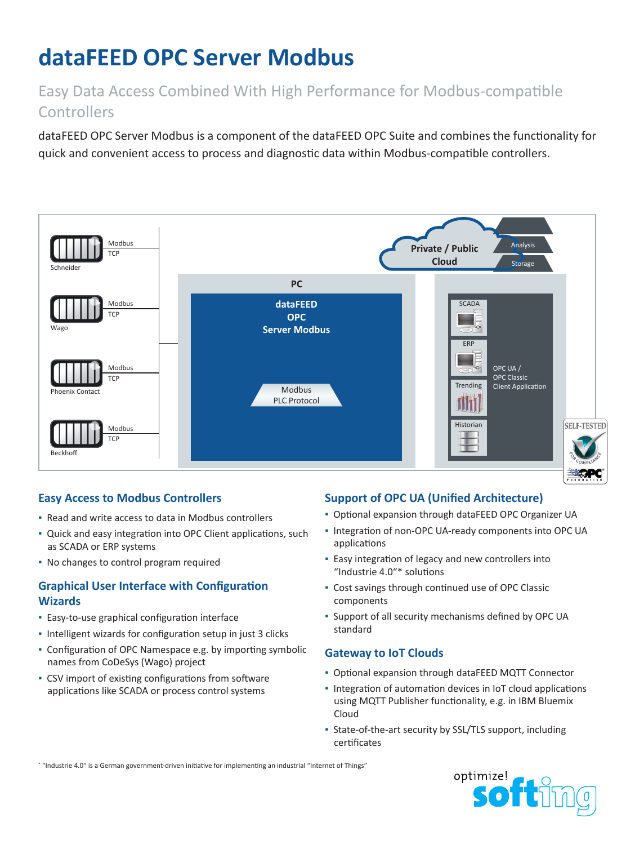# **dataFEED OPC Server Modbus**

## Easy Data Access Combined With High Performance for Modbus-compatible **Controllers**

dataFEED OPC Server Modbus is a component of the dataFEED OPC Suite and combines the functionality for quick and convenient access to process and diagnostic data within Modbus-compatible controllers.



## **Easy Access to Modbus Controllers**

- Read and write access to data in Modbus controllers
- Quick and easy integration into OPC Client applications, such as SCADA or ERP systems
- No changes to control program required

## **Graphical User Interface with Configuration Wizards**

- **Easy-to-use graphical configuration interface**
- Intelligent wizards for configuration setup in just 3 clicks
- Configuration of OPC Namespace e.g. by importing symbolic names from CoDeSys (Wago) project
- CSV import of existing configurations from software applications like SCADA or process control systems

## **Support of OPC UA (Unified Architecture)**

- Optional expansion through dataFEED OPC Organizer UA
- Integration of non-OPC UA-ready components into OPC UA applications
- **Easy integration of legacy and new controllers into** "Industrie 4.0"\* solutions
- Cost savings through continued use of OPC Classic components
- Support of all security mechanisms defined by OPC UA standard

#### **Gateway to IoT Clouds**

- Optional expansion through dataFEED MQTT Connector
- **.** Integration of automation devices in IoT cloud applications using MQTT Publisher functionality, e.g. in IBM Bluemix Cloud
- State-of-the-art security by SSL/TLS support, including certificates

\* "Industrie 4.0" is a German government-driven initiative for implementing an industrial "Internet of Things"